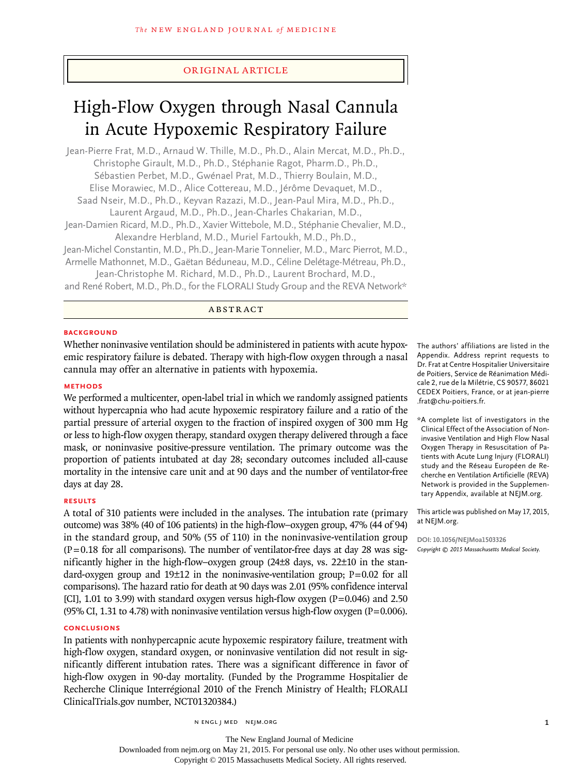## original article

# High-Flow Oxygen through Nasal Cannula in Acute Hypoxemic Respiratory Failure

Jean-Pierre Frat, M.D., Arnaud W. Thille, M.D., Ph.D., Alain Mercat, M.D., Ph.D., Christophe Girault, M.D., Ph.D., Stéphanie Ragot, Pharm.D., Ph.D., Sébastien Perbet, M.D., Gwénael Prat, M.D., Thierry Boulain, M.D., Elise Morawiec, M.D., Alice Cottereau, M.D., Jérôme Devaquet, M.D., Saad Nseir, M.D., Ph.D., Keyvan Razazi, M.D., Jean-Paul Mira, M.D., Ph.D., Laurent Argaud, M.D., Ph.D., Jean-Charles Chakarian, M.D., Jean-Damien Ricard, M.D., Ph.D., Xavier Wittebole, M.D., Stéphanie Chevalier, M.D., Alexandre Herbland, M.D., Muriel Fartoukh, M.D., Ph.D., Jean-Michel Constantin, M.D., Ph.D., Jean-Marie Tonnelier, M.D., Marc Pierrot, M.D., Armelle Mathonnet, M.D., Gaëtan Béduneau, M.D., Céline Delétage-Métreau, Ph.D., Jean-Christophe M. Richard, M.D., Ph.D., Laurent Brochard, M.D.,

and René Robert, M.D., Ph.D., for the FLORALI Study Group and the REVA Network\*

#### ABSTRACT

#### **BACKGROUND**

Whether noninvasive ventilation should be administered in patients with acute hypoxemic respiratory failure is debated. Therapy with high-flow oxygen through a nasal cannula may offer an alternative in patients with hypoxemia.

#### **METHODS**

We performed a multicenter, open-label trial in which we randomly assigned patients without hypercapnia who had acute hypoxemic respiratory failure and a ratio of the partial pressure of arterial oxygen to the fraction of inspired oxygen of 300 mm Hg or less to high-flow oxygen therapy, standard oxygen therapy delivered through a face mask, or noninvasive positive-pressure ventilation. The primary outcome was the proportion of patients intubated at day 28; secondary outcomes included all-cause mortality in the intensive care unit and at 90 days and the number of ventilator-free days at day 28.

## **RESULTS**

A total of 310 patients were included in the analyses. The intubation rate (primary outcome) was 38% (40 of 106 patients) in the high-flow–oxygen group, 47% (44 of 94) in the standard group, and 50% (55 of 110) in the noninvasive-ventilation group  $(P=0.18$  for all comparisons). The number of ventilator-free days at day 28 was significantly higher in the high-flow–oxygen group (24±8 days, vs. 22±10 in the standard-oxygen group and 19±12 in the noninvasive-ventilation group; P=0.02 for all comparisons). The hazard ratio for death at 90 days was 2.01 (95% confidence interval [CI], 1.01 to 3.99) with standard oxygen versus high-flow oxygen ( $P=0.046$ ) and 2.50 (95% CI, 1.31 to 4.78) with noninvasive ventilation versus high-flow oxygen ( $P=0.006$ ).

## **CONCLUSIONS**

In patients with nonhypercapnic acute hypoxemic respiratory failure, treatment with high-flow oxygen, standard oxygen, or noninvasive ventilation did not result in significantly different intubation rates. There was a significant difference in favor of high-flow oxygen in 90-day mortality. (Funded by the Programme Hospitalier de Recherche Clinique Interrégional 2010 of the French Ministry of Health; FLORALI ClinicalTrials.gov number, NCT01320384.)

n engl j med nejm.org 1

The authors' affiliations are listed in the Appendix. Address reprint requests to Dr. Frat at Centre Hospitalier Universitaire de Poitiers, Service de Réanimation Médicale 2, rue de la Milétrie, CS 90577, 86021 CEDEX Poitiers, France, or at jean-pierre .frat@chu-poitiers.fr.

\*A complete list of investigators in the Clinical Effect of the Association of Noninvasive Ventilation and High Flow Nasal Oxygen Therapy in Resuscitation of Patients with Acute Lung Injury (FLORALI) study and the Réseau Européen de Recherche en Ventilation Artificielle (REVA) Network is provided in the Supplementary Appendix, available at NEJM.org.

This article was published on May 17, 2015, at NEJM.org.

**DOI: 10.1056/NEJMoa1503326** *Copyright © 2015 Massachusetts Medical Society.*

Downloaded from nejm.org on May 21, 2015. For personal use only. No other uses without permission.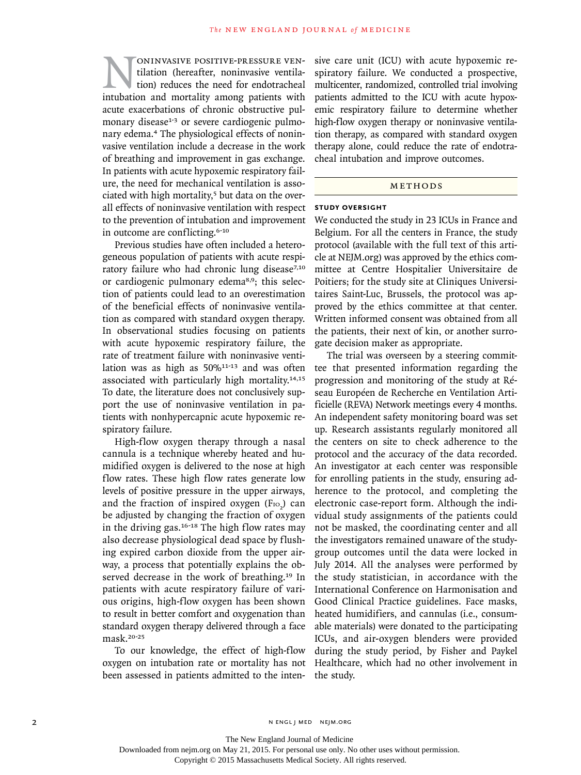NONINVASIVE POSITIVE-PRESSURE VEN-<br>tilation (hereafter, noninvasive ventila-<br>intubation and mortality among patients with tilation (hereafter, noninvasive ventilation) reduces the need for endotracheal acute exacerbations of chronic obstructive pulmonary disease<sup>1-3</sup> or severe cardiogenic pulmonary edema.4 The physiological effects of noninvasive ventilation include a decrease in the work of breathing and improvement in gas exchange. In patients with acute hypoxemic respiratory failure, the need for mechanical ventilation is associated with high mortality, $5$  but data on the overall effects of noninvasive ventilation with respect to the prevention of intubation and improvement in outcome are conflicting.6-10

Previous studies have often included a heterogeneous population of patients with acute respiratory failure who had chronic lung disease<sup>7,10</sup> or cardiogenic pulmonary edema8,9; this selection of patients could lead to an overestimation of the beneficial effects of noninvasive ventilation as compared with standard oxygen therapy. In observational studies focusing on patients with acute hypoxemic respiratory failure, the rate of treatment failure with noninvasive ventilation was as high as  $50\%$ <sup>11-13</sup> and was often associated with particularly high mortality.14,15 To date, the literature does not conclusively support the use of noninvasive ventilation in patients with nonhypercapnic acute hypoxemic respiratory failure.

High-flow oxygen therapy through a nasal cannula is a technique whereby heated and humidified oxygen is delivered to the nose at high flow rates. These high flow rates generate low levels of positive pressure in the upper airways, and the fraction of inspired oxygen  $(F_{\text{IO}_2})$  can be adjusted by changing the fraction of oxygen in the driving gas.<sup>16-18</sup> The high flow rates may also decrease physiological dead space by flushing expired carbon dioxide from the upper airway, a process that potentially explains the observed decrease in the work of breathing.<sup>19</sup> In patients with acute respiratory failure of various origins, high-flow oxygen has been shown to result in better comfort and oxygenation than standard oxygen therapy delivered through a face mask.20-25

To our knowledge, the effect of high-flow oxygen on intubation rate or mortality has not been assessed in patients admitted to the intensive care unit (ICU) with acute hypoxemic respiratory failure. We conducted a prospective, multicenter, randomized, controlled trial involving patients admitted to the ICU with acute hypoxemic respiratory failure to determine whether high-flow oxygen therapy or noninvasive ventilation therapy, as compared with standard oxygen therapy alone, could reduce the rate of endotracheal intubation and improve outcomes.

## METHODS

#### **STUDY OVERSIGHT**

We conducted the study in 23 ICUs in France and Belgium. For all the centers in France, the study protocol (available with the full text of this article at NEJM.org) was approved by the ethics committee at Centre Hospitalier Universitaire de Poitiers; for the study site at Cliniques Universitaires Saint-Luc, Brussels, the protocol was approved by the ethics committee at that center. Written informed consent was obtained from all the patients, their next of kin, or another surrogate decision maker as appropriate.

The trial was overseen by a steering committee that presented information regarding the progression and monitoring of the study at Réseau Européen de Recherche en Ventilation Artificielle (REVA) Network meetings every 4 months. An independent safety monitoring board was set up. Research assistants regularly monitored all the centers on site to check adherence to the protocol and the accuracy of the data recorded. An investigator at each center was responsible for enrolling patients in the study, ensuring adherence to the protocol, and completing the electronic case-report form. Although the individual study assignments of the patients could not be masked, the coordinating center and all the investigators remained unaware of the studygroup outcomes until the data were locked in July 2014. All the analyses were performed by the study statistician, in accordance with the International Conference on Harmonisation and Good Clinical Practice guidelines. Face masks, heated humidifiers, and cannulas (i.e., consumable materials) were donated to the participating ICUs, and air-oxygen blenders were provided during the study period, by Fisher and Paykel Healthcare, which had no other involvement in the study.

The New England Journal of Medicine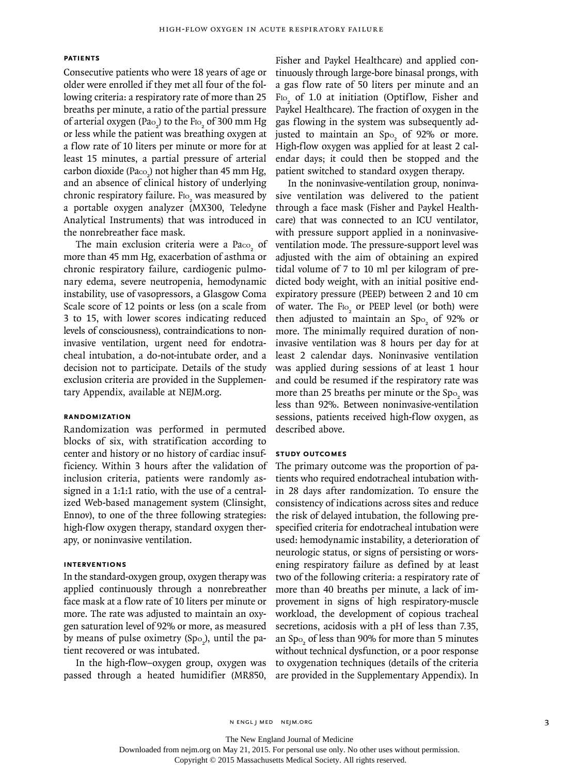#### **PATIENTS**

Consecutive patients who were 18 years of age or older were enrolled if they met all four of the following criteria: a respiratory rate of more than 25 breaths per minute, a ratio of the partial pressure of arterial oxygen (Pa $_{\rm o_2}$ ) to the F $_{\rm lo_2}$  of 300 mm Hg or less while the patient was breathing oxygen at a flow rate of 10 liters per minute or more for at least 15 minutes, a partial pressure of arterial carbon dioxide (Pa $\infty_2$ ) not higher than 45 mm Hg, and an absence of clinical history of underlying chronic respiratory failure.  $F_{\text{IO}_2}$  was measured by a portable oxygen analyzer (MX300, Teledyne Analytical Instruments) that was introduced in the nonrebreather face mask.

The main exclusion criteria were a  $Pa_{\text{co}_2}$  of more than 45 mm Hg, exacerbation of asthma or chronic respiratory failure, cardiogenic pulmonary edema, severe neutropenia, hemodynamic instability, use of vasopressors, a Glasgow Coma Scale score of 12 points or less (on a scale from 3 to 15, with lower scores indicating reduced levels of consciousness), contraindications to noninvasive ventilation, urgent need for endotracheal intubation, a do-not-intubate order, and a decision not to participate. Details of the study exclusion criteria are provided in the Supplementary Appendix, available at NEJM.org.

#### **RANDOMIZATION**

Randomization was performed in permuted blocks of six, with stratification according to center and history or no history of cardiac insufficiency. Within 3 hours after the validation of inclusion criteria, patients were randomly assigned in a 1:1:1 ratio, with the use of a centralized Web-based management system (Clinsight, Ennov), to one of the three following strategies: high-flow oxygen therapy, standard oxygen therapy, or noninvasive ventilation.

#### **INTERVENTIONS**

In the standard-oxygen group, oxygen therapy was applied continuously through a nonrebreather face mask at a flow rate of 10 liters per minute or more. The rate was adjusted to maintain an oxygen saturation level of 92% or more, as measured by means of pulse oximetry  $(Spo<sub>2</sub>)$ , until the patient recovered or was intubated.

In the high-flow–oxygen group, oxygen was passed through a heated humidifier (MR850,

Fisher and Paykel Healthcare) and applied continuously through large-bore binasal prongs, with a gas flow rate of 50 liters per minute and an  $F_{\text{IO}_2}$  of 1.0 at initiation (Optiflow, Fisher and Paykel Healthcare). The fraction of oxygen in the gas flowing in the system was subsequently adjusted to maintain an  $Sp_{O_2}$  of 92% or more. High-flow oxygen was applied for at least 2 calendar days; it could then be stopped and the patient switched to standard oxygen therapy.

In the noninvasive-ventilation group, noninvasive ventilation was delivered to the patient through a face mask (Fisher and Paykel Healthcare) that was connected to an ICU ventilator, with pressure support applied in a noninvasiveventilation mode. The pressure-support level was adjusted with the aim of obtaining an expired tidal volume of 7 to 10 ml per kilogram of predicted body weight, with an initial positive endexpiratory pressure (PEEP) between 2 and 10 cm of water. The F<sub>IO<sub>2</sub></sub> or PEEP level (or both) were then adjusted to maintain an  $Sp_{2}$  of 92% or more. The minimally required duration of noninvasive ventilation was 8 hours per day for at least 2 calendar days. Noninvasive ventilation was applied during sessions of at least 1 hour and could be resumed if the respiratory rate was more than 25 breaths per minute or the  $Spo_2$  was less than 92%. Between noninvasive-ventilation sessions, patients received high-flow oxygen, as described above.

## **STUDY OUTCOMES**

The primary outcome was the proportion of patients who required endotracheal intubation within 28 days after randomization. To ensure the consistency of indications across sites and reduce the risk of delayed intubation, the following prespecified criteria for endotracheal intubation were used: hemodynamic instability, a deterioration of neurologic status, or signs of persisting or worsening respiratory failure as defined by at least two of the following criteria: a respiratory rate of more than 40 breaths per minute, a lack of improvement in signs of high respiratory-muscle workload, the development of copious tracheal secretions, acidosis with a pH of less than 7.35, an Sp $_{\rm O_2}$  of less than 90% for more than 5 minutes without technical dysfunction, or a poor response to oxygenation techniques (details of the criteria are provided in the Supplementary Appendix). In

The New England Journal of Medicine

Downloaded from nejm.org on May 21, 2015. For personal use only. No other uses without permission.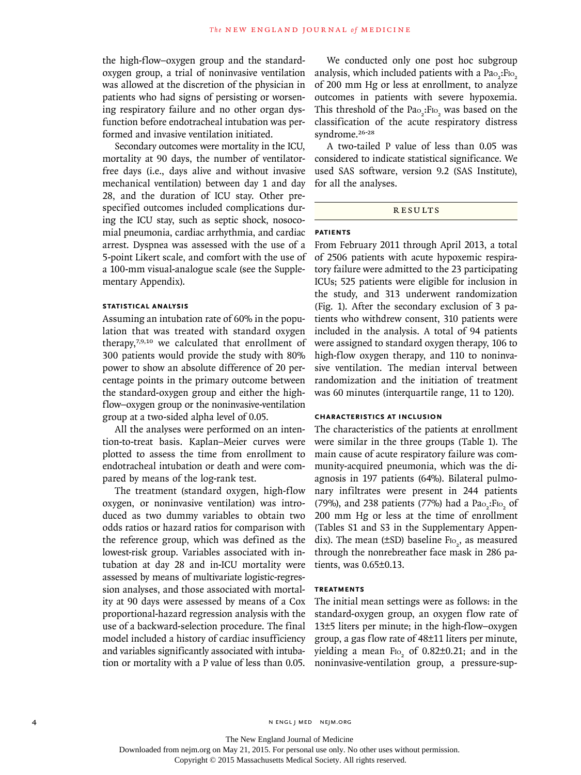the high-flow–oxygen group and the standardoxygen group, a trial of noninvasive ventilation was allowed at the discretion of the physician in patients who had signs of persisting or worsening respiratory failure and no other organ dysfunction before endotracheal intubation was performed and invasive ventilation initiated.

Secondary outcomes were mortality in the ICU, mortality at 90 days, the number of ventilatorfree days (i.e., days alive and without invasive mechanical ventilation) between day 1 and day 28, and the duration of ICU stay. Other prespecified outcomes included complications during the ICU stay, such as septic shock, nosocomial pneumonia, cardiac arrhythmia, and cardiac arrest. Dyspnea was assessed with the use of a 5-point Likert scale, and comfort with the use of a 100-mm visual-analogue scale (see the Supplementary Appendix).

### **STATISTICAL ANALYSIS**

Assuming an intubation rate of 60% in the population that was treated with standard oxygen therapy,7,9,10 we calculated that enrollment of 300 patients would provide the study with 80% power to show an absolute difference of 20 percentage points in the primary outcome between the standard-oxygen group and either the highflow–oxygen group or the noninvasive-ventilation group at a two-sided alpha level of 0.05.

All the analyses were performed on an intention-to-treat basis. Kaplan–Meier curves were plotted to assess the time from enrollment to endotracheal intubation or death and were compared by means of the log-rank test.

The treatment (standard oxygen, high-flow oxygen, or noninvasive ventilation) was introduced as two dummy variables to obtain two odds ratios or hazard ratios for comparison with the reference group, which was defined as the lowest-risk group. Variables associated with intubation at day 28 and in-ICU mortality were assessed by means of multivariate logistic-regression analyses, and those associated with mortality at 90 days were assessed by means of a Cox proportional-hazard regression analysis with the use of a backward-selection procedure. The final model included a history of cardiac insufficiency and variables significantly associated with intubation or mortality with a P value of less than 0.05.

We conducted only one post hoc subgroup analysis, which included patients with a  $Pao_2: Fio_2$ of 200 mm Hg or less at enrollment, to analyze outcomes in patients with severe hypoxemia. This threshold of the  $Pa_{0_2}$ : F<sub>IO<sub>2</sub></sub> was based on the classification of the acute respiratory distress syndrome.26-28

A two-tailed P value of less than 0.05 was considered to indicate statistical significance. We used SAS software, version 9.2 (SAS Institute), for all the analyses.

## **RESULTS**

## **PATIENTS**

From February 2011 through April 2013, a total of 2506 patients with acute hypoxemic respiratory failure were admitted to the 23 participating ICUs; 525 patients were eligible for inclusion in the study, and 313 underwent randomization (Fig. 1). After the secondary exclusion of 3 patients who withdrew consent, 310 patients were included in the analysis. A total of 94 patients were assigned to standard oxygen therapy, 106 to high-flow oxygen therapy, and 110 to noninvasive ventilation. The median interval between randomization and the initiation of treatment was 60 minutes (interquartile range, 11 to 120).

## **CHARACTERISTICS AT INCLUSION**

The characteristics of the patients at enrollment were similar in the three groups (Table 1). The main cause of acute respiratory failure was community-acquired pneumonia, which was the diagnosis in 197 patients (64%). Bilateral pulmonary infiltrates were present in 244 patients (79%), and 238 patients (77%) had a  $Pa_{2}$ : F<sub>IO<sub>2</sub></sub> of 200 mm Hg or less at the time of enrollment (Tables S1 and S3 in the Supplementary Appendix). The mean ( $\pm$ SD) baseline F<sub>lo<sub>2</sub>, as measured</sub> through the nonrebreather face mask in 286 patients, was 0.65±0.13.

#### **TREATMENTS**

The initial mean settings were as follows: in the standard-oxygen group, an oxygen flow rate of 13±5 liters per minute; in the high-flow–oxygen group, a gas flow rate of 48±11 liters per minute, yielding a mean  $F_{\text{IO}_2}$  of 0.82±0.21; and in the noninvasive-ventilation group, a pressure-sup-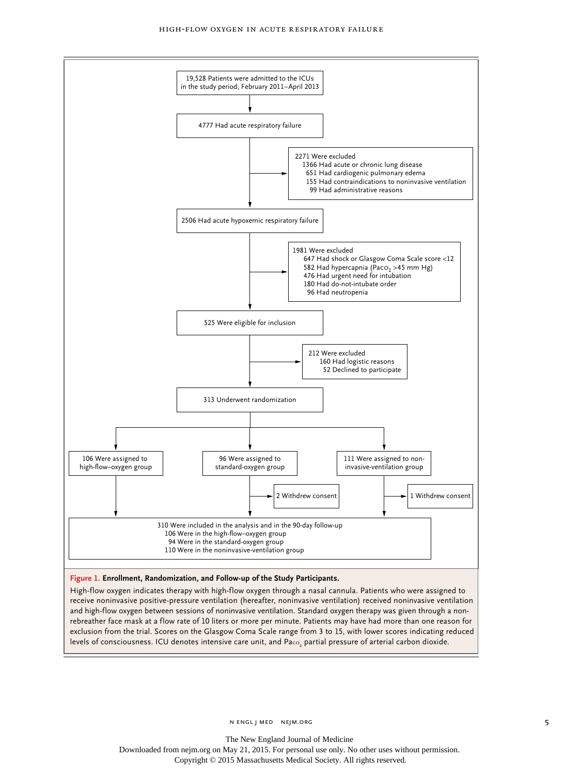

High-flow oxygen indicates therapy with high-flow oxygen through a nasal cannula. Patients who were assigned to receive noninvasive positive-pressure ventilation (hereafter, noninvasive ventilation) received noninvasive ventilation and high-flow oxygen between sessions of noninvasive ventilation. Standard oxygen therapy was given through a nonrebreather face mask at a flow rate of 10 liters or more per minute. Patients may have had more than one reason for exclusion from the trial. Scores on the Glasgow Coma Scale range from 3 to 15, with lower scores indicating reduced levels of consciousness. ICU denotes intensive care unit, and Pa $\rm{e}$ o $_{2}$  partial pressure of arterial carbon dioxide.

n engl j med nejm.org 5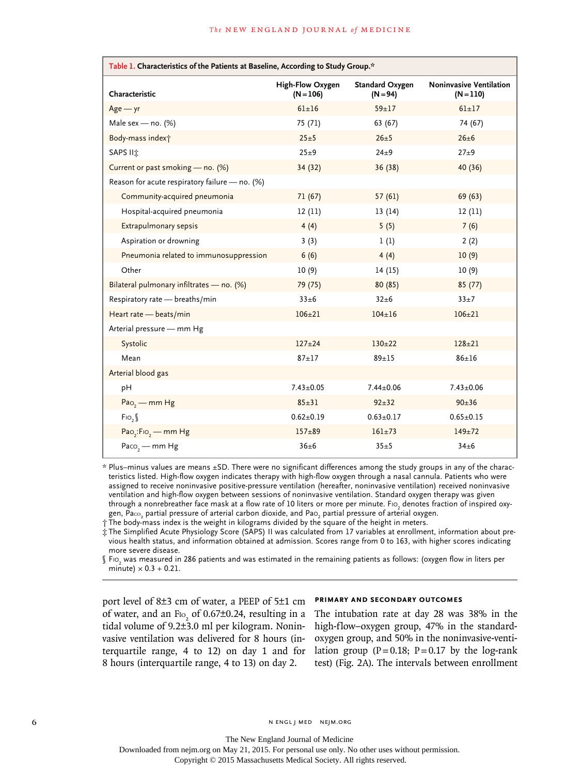| Table 1. Characteristics of the Patients at Baseline, According to Study Group.* |                                        |                                      |                                               |  |  |  |  |
|----------------------------------------------------------------------------------|----------------------------------------|--------------------------------------|-----------------------------------------------|--|--|--|--|
| Characteristic                                                                   | <b>High-Flow Oxygen</b><br>$(N = 106)$ | <b>Standard Oxygen</b><br>$(N = 94)$ | <b>Noninvasive Ventilation</b><br>$(N = 110)$ |  |  |  |  |
| $Age - yr$                                                                       | $61 \pm 16$                            | $59 + 17$                            | $61 + 17$                                     |  |  |  |  |
| Male sex - no. $(%)$                                                             | 75 (71)                                | 63 (67)                              | 74 (67)                                       |  |  |  |  |
| Body-mass index;                                                                 | $25 + 5$                               | $26 + 5$                             | $26 \pm 6$                                    |  |  |  |  |
| SAPS II <sup>t</sup>                                                             | $25\pm9$                               | $24\pm9$                             | $27 + 9$                                      |  |  |  |  |
| Current or past smoking - no. (%)                                                | 34 (32)                                | 36(38)                               | 40 (36)                                       |  |  |  |  |
| Reason for acute respiratory failure - no. (%)                                   |                                        |                                      |                                               |  |  |  |  |
| Community-acquired pneumonia                                                     | 71(67)                                 | 57(61)                               | 69(63)                                        |  |  |  |  |
| Hospital-acquired pneumonia                                                      | 12(11)                                 | 13(14)                               | 12(11)                                        |  |  |  |  |
| <b>Extrapulmonary sepsis</b>                                                     | 4(4)                                   | 5(5)                                 | 7(6)                                          |  |  |  |  |
| Aspiration or drowning                                                           | 3(3)                                   | 1(1)                                 | 2(2)                                          |  |  |  |  |
| Pneumonia related to immunosuppression                                           | 6(6)                                   | 4(4)                                 | 10(9)                                         |  |  |  |  |
| Other                                                                            | 10(9)                                  | 14(15)                               | 10(9)                                         |  |  |  |  |
| Bilateral pulmonary infiltrates - no. (%)                                        | 79 (75)                                | 80 (85)                              | 85(77)                                        |  |  |  |  |
| Respiratory rate - breaths/min                                                   | $33 + 6$                               | $32 + 6$                             | $33+7$                                        |  |  |  |  |
| Heart rate - beats/min                                                           | $106 \pm 21$                           | $104 \pm 16$                         | $106 \pm 21$                                  |  |  |  |  |
| Arterial pressure - mm Hg                                                        |                                        |                                      |                                               |  |  |  |  |
| Systolic                                                                         | $127 + 24$                             | $130 \pm 22$                         | $128 + 21$                                    |  |  |  |  |
| Mean                                                                             | $87 + 17$                              | $89 + 15$                            | $86 \pm 16$                                   |  |  |  |  |
| Arterial blood gas                                                               |                                        |                                      |                                               |  |  |  |  |
| pH                                                                               | $7.43 \pm 0.05$                        | $7.44 \pm 0.06$                      | $7.43 \pm 0.06$                               |  |  |  |  |
| $Pao, -mm Hg$                                                                    | $85 + 31$                              | $92 + 32$                            | $90+36$                                       |  |  |  |  |
| Fig.                                                                             | $0.62 \pm 0.19$                        | $0.63 \pm 0.17$                      | $0.65 \pm 0.15$                               |  |  |  |  |
| Pao <sub>2</sub> :Fio <sub>2</sub> - mm Hg                                       | $157 + 89$                             | $161 + 73$                           | $149 \pm 72$                                  |  |  |  |  |
| Paco <sub>2</sub> - mm Hg                                                        | $36 \pm 6$                             | $35 + 5$                             | $34\pm 6$                                     |  |  |  |  |

\* Plus–minus values are means ±SD. There were no significant differences among the study groups in any of the characteristics listed. High-flow oxygen indicates therapy with high-flow oxygen through a nasal cannula. Patients who were assigned to receive noninvasive positive-pressure ventilation (hereafter, noninvasive ventilation) received noninvasive ventilation and high-flow oxygen between sessions of noninvasive ventilation. Standard oxygen therapy was given through a nonrebreather face mask at a flow rate of 10 liters or more per minute. F10, denotes fraction of inspired oxygen, Pa $\infty_2$  partial pressure of arterial carbon dioxide, and Pa $\circ_2$  partial pressure of arterial oxygen.

† The body-mass index is the weight in kilograms divided by the square of the height in meters.

‡ The Simplified Acute Physiology Score (SAPS) II was calculated from 17 variables at enrollment, information about previous health status, and information obtained at admission. Scores range from 0 to 163, with higher scores indicating more severe disease.

 $\mathbb S$  Fio<sub>2</sub> was measured in 286 patients and was estimated in the remaining patients as follows: (oxygen flow in liters per minute)  $\times$  0.3 + 0.21.

port level of 8±3 cm of water, a PEEP of 5±1 cm of water, and an  $F_{10}$  of 0.67±0.24, resulting in a tidal volume of 9.2±3.0 ml per kilogram. Noninvasive ventilation was delivered for 8 hours (interquartile range, 4 to 12) on day 1 and for 8 hours (interquartile range, 4 to 13) on day 2.

#### **PRIMARY AND SECONDARY OUTCOMES**

The intubation rate at day 28 was 38% in the high-flow–oxygen group, 47% in the standardoxygen group, and 50% in the noninvasive-ventilation group ( $P = 0.18$ ;  $P = 0.17$  by the log-rank test) (Fig. 2A). The intervals between enrollment

6 n engl j med nejm.org i med nejm.org i med nejm.org i med nejm.org i med nejm.org i med nejm.org i med nejm.org i med nejm.org i med nejm.org i med nejm.org i med nejm.org i med nejm.org i med nejm.org i med nejm.org i m

The New England Journal of Medicine Downloaded from nejm.org on May 21, 2015. For personal use only. No other uses without permission.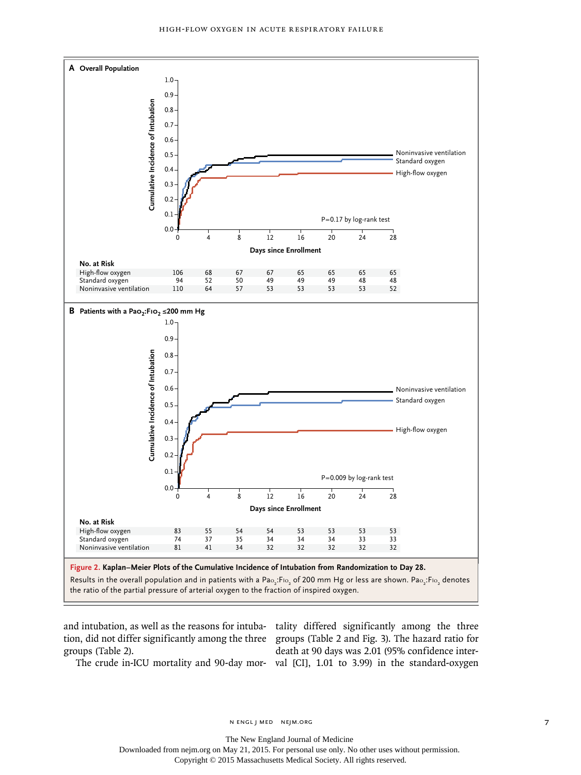

and intubation, as well as the reasons for intuba-tality differed significantly among the three tion, did not differ significantly among the three groups (Table 2 and Fig. 3). The hazard ratio for groups (Table 2).

The crude in-ICU mortality and 90-day mor-val [CI], 1.01 to 3.99) in the standard-oxygen death at 90 days was 2.01 (95% confidence inter-

n engl j med nejm.org 7

The New England Journal of Medicine

Downloaded from nejm.org on May 21, 2015. For personal use only. No other uses without permission.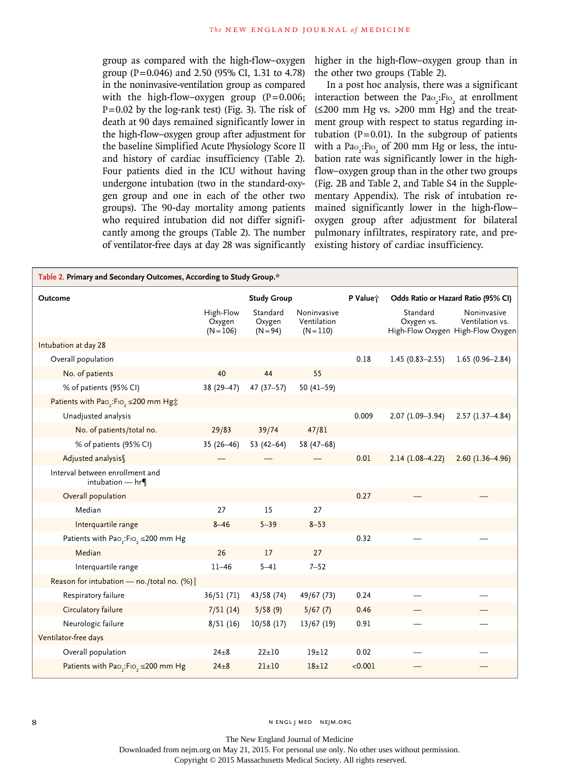group as compared with the high-flow–oxygen group (P=0.046) and 2.50 (95% CI, 1.31 to 4.78) in the noninvasive-ventilation group as compared with the high-flow–oxygen group  $(P=0.006;$  $P=0.02$  by the log-rank test) (Fig. 3). The risk of death at 90 days remained significantly lower in the high-flow–oxygen group after adjustment for the baseline Simplified Acute Physiology Score II and history of cardiac insufficiency (Table 2). Four patients died in the ICU without having undergone intubation (two in the standard-oxygen group and one in each of the other two groups). The 90-day mortality among patients who required intubation did not differ significantly among the groups (Table 2). The number of ventilator-free days at day 28 was significantly

higher in the high-flow–oxygen group than in the other two groups (Table 2).

In a post hoc analysis, there was a significant interaction between the  $Pao_2: Flo_2$  at enrollment (≤200 mm Hg vs. >200 mm Hg) and the treatment group with respect to status regarding intubation ( $P=0.01$ ). In the subgroup of patients with a  $Pa_{\rm O_2}$ :Fi $_{\rm O_2}$  of 200 mm Hg or less, the intubation rate was significantly lower in the highflow–oxygen group than in the other two groups (Fig. 2B and Table 2, and Table S4 in the Supplementary Appendix). The risk of intubation remained significantly lower in the high-flow– oxygen group after adjustment for bilateral pulmonary infiltrates, respiratory rate, and preexisting history of cardiac insufficiency.

| Table 2. Primary and Secondary Outcomes, According to Study Group.* |                                    |                                  |                                           |                                     |                        |                                                                     |  |  |
|---------------------------------------------------------------------|------------------------------------|----------------------------------|-------------------------------------------|-------------------------------------|------------------------|---------------------------------------------------------------------|--|--|
| <b>Outcome</b>                                                      | <b>Study Group</b>                 |                                  | P Value;                                  | Odds Ratio or Hazard Ratio (95% CI) |                        |                                                                     |  |  |
|                                                                     | High-Flow<br>Oxygen<br>$(N = 106)$ | Standard<br>Oxygen<br>$(N = 94)$ | Noninvasive<br>Ventilation<br>$(N = 110)$ |                                     | Standard<br>Oxygen vs. | Noninvasive<br>Ventilation vs.<br>High-Flow Oxygen High-Flow Oxygen |  |  |
| Intubation at day 28                                                |                                    |                                  |                                           |                                     |                        |                                                                     |  |  |
| Overall population                                                  |                                    |                                  |                                           | 0.18                                | $1.45(0.83 - 2.55)$    | 1.65 $(0.96 - 2.84)$                                                |  |  |
| No. of patients                                                     | 40                                 | 44                               | 55                                        |                                     |                        |                                                                     |  |  |
| % of patients (95% CI)                                              | 38 (29-47)                         | $47(37-57)$                      | 50 $(41-59)$                              |                                     |                        |                                                                     |  |  |
| Patients with Pao <sub>2</sub> :Fio <sub>2</sub> ≤200 mm Hg‡        |                                    |                                  |                                           |                                     |                        |                                                                     |  |  |
| Unadjusted analysis                                                 |                                    |                                  |                                           | 0.009                               | $2.07(1.09-3.94)$      | $2.57(1.37 - 4.84)$                                                 |  |  |
| No. of patients/total no.                                           | 29/83                              | 39/74                            | 47/81                                     |                                     |                        |                                                                     |  |  |
| % of patients (95% CI)                                              | $35(26-46)$                        | 53 $(42-64)$                     | $58(47-68)$                               |                                     |                        |                                                                     |  |  |
| Adjusted analysis                                                   |                                    |                                  |                                           | 0.01                                | $2.14(1.08-4.22)$      | $2.60(1.36-4.96)$                                                   |  |  |
| Interval between enrollment and<br>intubation $-$ hr                |                                    |                                  |                                           |                                     |                        |                                                                     |  |  |
| Overall population                                                  |                                    |                                  |                                           | 0.27                                |                        |                                                                     |  |  |
| Median                                                              | 27                                 | 15                               | 27                                        |                                     |                        |                                                                     |  |  |
| Interquartile range                                                 | $8 - 46$                           | $5 - 39$                         | $8 - 53$                                  |                                     |                        |                                                                     |  |  |
| Patients with Pao <sub>2</sub> :Fio <sub>2</sub> ≤200 mm Hg         |                                    |                                  |                                           | 0.32                                |                        |                                                                     |  |  |
| Median                                                              | 26                                 | 17                               | 27                                        |                                     |                        |                                                                     |  |  |
| Interquartile range                                                 | $11 - 46$                          | $5 - 41$                         | $7 - 52$                                  |                                     |                        |                                                                     |  |  |
| Reason for intubation - no./total no. (%)                           |                                    |                                  |                                           |                                     |                        |                                                                     |  |  |
| Respiratory failure                                                 | 36/51 (71)                         | 43/58(74)                        | 49/67 (73)                                | 0.24                                |                        |                                                                     |  |  |
| Circulatory failure                                                 | 7/51(14)                           | 5/58(9)                          | 5/67(7)                                   | 0.46                                |                        |                                                                     |  |  |
| Neurologic failure                                                  | 8/51(16)                           | 10/58(17)                        | 13/67(19)                                 | 0.91                                |                        |                                                                     |  |  |
| Ventilator-free days                                                |                                    |                                  |                                           |                                     |                        |                                                                     |  |  |
| Overall population                                                  | $24\pm8$                           | $22+10$                          | $19 + 12$                                 | 0.02                                |                        |                                                                     |  |  |
| Patients with Pao,:Fio, ≤200 mm Hg                                  | $24 \pm 8$                         | $21+10$                          | $18 + 12$                                 | < 0.001                             |                        |                                                                     |  |  |

8 N ENGL J MED NEJM.ORG

The New England Journal of Medicine Downloaded from nejm.org on May 21, 2015. For personal use only. No other uses without permission. Copyright © 2015 Massachusetts Medical Society. All rights reserved.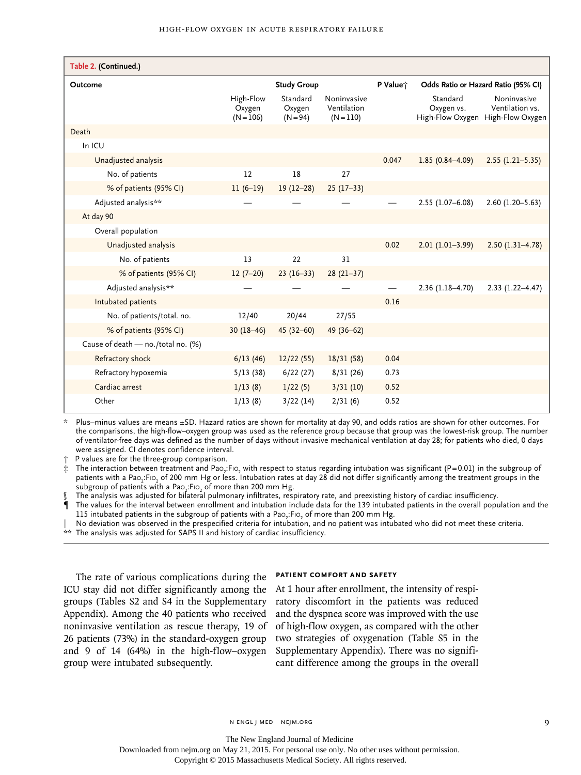| Table 2. (Continued.)              |                                    |                                  |                                           |                                     |                                            |                                                    |  |
|------------------------------------|------------------------------------|----------------------------------|-------------------------------------------|-------------------------------------|--------------------------------------------|----------------------------------------------------|--|
| Outcome                            | <b>Study Group</b>                 |                                  | P Value;                                  | Odds Ratio or Hazard Ratio (95% CI) |                                            |                                                    |  |
|                                    | High-Flow<br>Oxygen<br>$(N = 106)$ | Standard<br>Oxygen<br>$(N = 94)$ | Noninvasive<br>Ventilation<br>$(N = 110)$ |                                     | Standard<br>Oxygen vs.<br>High-Flow Oxygen | Noninvasive<br>Ventilation vs.<br>High-Flow Oxygen |  |
| Death                              |                                    |                                  |                                           |                                     |                                            |                                                    |  |
| In ICU                             |                                    |                                  |                                           |                                     |                                            |                                                    |  |
| Unadjusted analysis                |                                    |                                  |                                           | 0.047                               | $1.85(0.84 - 4.09)$                        | $2.55(1.21 - 5.35)$                                |  |
| No. of patients                    | 12                                 | 18                               | 27                                        |                                     |                                            |                                                    |  |
| % of patients (95% CI)             | $11(6-19)$                         | $19(12-28)$                      | $25(17-33)$                               |                                     |                                            |                                                    |  |
| Adjusted analysis**                |                                    |                                  |                                           |                                     | $2.55(1.07 - 6.08)$                        | $2.60(1.20 - 5.63)$                                |  |
| At day 90                          |                                    |                                  |                                           |                                     |                                            |                                                    |  |
| Overall population                 |                                    |                                  |                                           |                                     |                                            |                                                    |  |
| Unadjusted analysis                |                                    |                                  |                                           | 0.02                                | $2.01(1.01-3.99)$                          | $2.50(1.31 - 4.78)$                                |  |
| No. of patients                    | 13                                 | 22                               | 31                                        |                                     |                                            |                                                    |  |
| % of patients (95% CI)             | $12(7-20)$                         | $23(16-33)$                      | $28(21-37)$                               |                                     |                                            |                                                    |  |
| Adjusted analysis**                |                                    |                                  |                                           |                                     | $2.36(1.18-4.70)$                          | $2.33(1.22 - 4.47)$                                |  |
| Intubated patients                 |                                    |                                  |                                           | 0.16                                |                                            |                                                    |  |
| No. of patients/total. no.         | 12/40                              | 20/44                            | 27/55                                     |                                     |                                            |                                                    |  |
| % of patients (95% CI)             | $30(18-46)$                        | $45(32-60)$                      | 49 (36-62)                                |                                     |                                            |                                                    |  |
| Cause of death - no./total no. (%) |                                    |                                  |                                           |                                     |                                            |                                                    |  |
| Refractory shock                   | 6/13(46)                           | 12/22(55)                        | 18/31(58)                                 | 0.04                                |                                            |                                                    |  |
| Refractory hypoxemia               | 5/13(38)                           | 6/22(27)                         | 8/31(26)                                  | 0.73                                |                                            |                                                    |  |
| Cardiac arrest                     | 1/13(8)                            | 1/22(5)                          | 3/31(10)                                  | 0.52                                |                                            |                                                    |  |
| Other                              | 1/13(8)                            | 3/22(14)                         | 2/31(6)                                   | 0.52                                |                                            |                                                    |  |

Plus–minus values are means ±SD. Hazard ratios are shown for mortality at day 90, and odds ratios are shown for other outcomes. For the comparisons, the high-flow–oxygen group was used as the reference group because that group was the lowest-risk group. The number of ventilator-free days was defined as the number of days without invasive mechanical ventilation at day 28; for patients who died, 0 days were assigned. CI denotes confidence interval.

† P values are for the three-group comparison.

 $\ddot{x}$  The interaction between treatment and Pao $_2$ :Fio $_2$  with respect to status regarding intubation was significant (P=0.01) in the subgroup of patients with a Pao<sub>2</sub>:Fio<sub>2</sub> of 200 mm Hg or less. Intubation rates at day 28 did not differ significantly among the treatment groups in the subgroup of patients with a Pao $_2$ :F10 $_2$  of more than 200 mm Hg.

The analysis was adjusted for bilateral pulmonary infiltrates, respiratory rate, and preexisting history of cardiac insufficiency.

¶ The values for the interval between enrollment and intubation include data for the 139 intubated patients in the overall population and the  $115$  intubated patients in the subgroup of patients with a Pao $_2$ :F10 $_2$  of more than 200 mm Hg.

‖ No deviation was observed in the prespecified criteria for intubation, and no patient was intubated who did not meet these criteria.  $*$  The analysis was adjusted for SAPS II and history of cardiac insufficiency.

The rate of various complications during the ICU stay did not differ significantly among the groups (Tables S2 and S4 in the Supplementary Appendix). Among the 40 patients who received noninvasive ventilation as rescue therapy, 19 of 26 patients (73%) in the standard-oxygen group and 9 of 14 (64%) in the high-flow–oxygen group were intubated subsequently.

#### **PATIENT COMFORT AND SAFETY**

At 1 hour after enrollment, the intensity of respiratory discomfort in the patients was reduced and the dyspnea score was improved with the use of high-flow oxygen, as compared with the other two strategies of oxygenation (Table S5 in the Supplementary Appendix). There was no significant difference among the groups in the overall

The New England Journal of Medicine

Downloaded from nejm.org on May 21, 2015. For personal use only. No other uses without permission.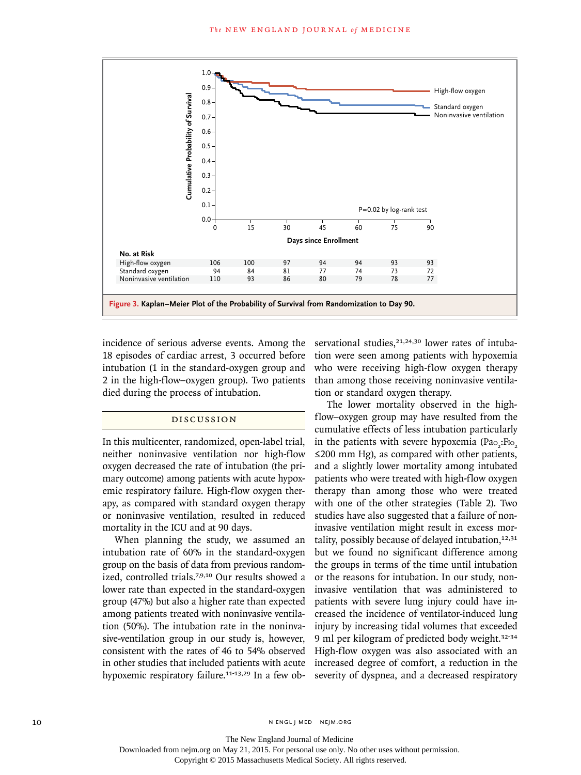

incidence of serious adverse events. Among the 18 episodes of cardiac arrest, 3 occurred before intubation (1 in the standard-oxygen group and 2 in the high-flow–oxygen group). Two patients died during the process of intubation.

## DISCUSSION

In this multicenter, randomized, open-label trial, neither noninvasive ventilation nor high-flow oxygen decreased the rate of intubation (the primary outcome) among patients with acute hypoxemic respiratory failure. High-flow oxygen therapy, as compared with standard oxygen therapy or noninvasive ventilation, resulted in reduced mortality in the ICU and at 90 days.

When planning the study, we assumed an intubation rate of 60% in the standard-oxygen group on the basis of data from previous randomized, controlled trials.7,9,10 Our results showed a lower rate than expected in the standard-oxygen group (47%) but also a higher rate than expected among patients treated with noninvasive ventilation (50%). The intubation rate in the noninvasive-ventilation group in our study is, however, consistent with the rates of 46 to 54% observed in other studies that included patients with acute hypoxemic respiratory failure.<sup>11-13,29</sup> In a few observational studies, $21,24,30$  lower rates of intubation were seen among patients with hypoxemia who were receiving high-flow oxygen therapy than among those receiving noninvasive ventilation or standard oxygen therapy.

The lower mortality observed in the highflow–oxygen group may have resulted from the cumulative effects of less intubation particularly in the patients with severe hypoxemia (Pao<sub>2</sub>:Fio<sub>2</sub> ≤200 mm Hg), as compared with other patients, and a slightly lower mortality among intubated patients who were treated with high-flow oxygen therapy than among those who were treated with one of the other strategies (Table 2). Two studies have also suggested that a failure of noninvasive ventilation might result in excess mortality, possibly because of delayed intubation, $12,31$ but we found no significant difference among the groups in terms of the time until intubation or the reasons for intubation. In our study, noninvasive ventilation that was administered to patients with severe lung injury could have increased the incidence of ventilator-induced lung injury by increasing tidal volumes that exceeded 9 ml per kilogram of predicted body weight.32-34 High-flow oxygen was also associated with an increased degree of comfort, a reduction in the severity of dyspnea, and a decreased respiratory

10 N ENGL J MED NEJM.ORG

The New England Journal of Medicine

Downloaded from nejm.org on May 21, 2015. For personal use only. No other uses without permission.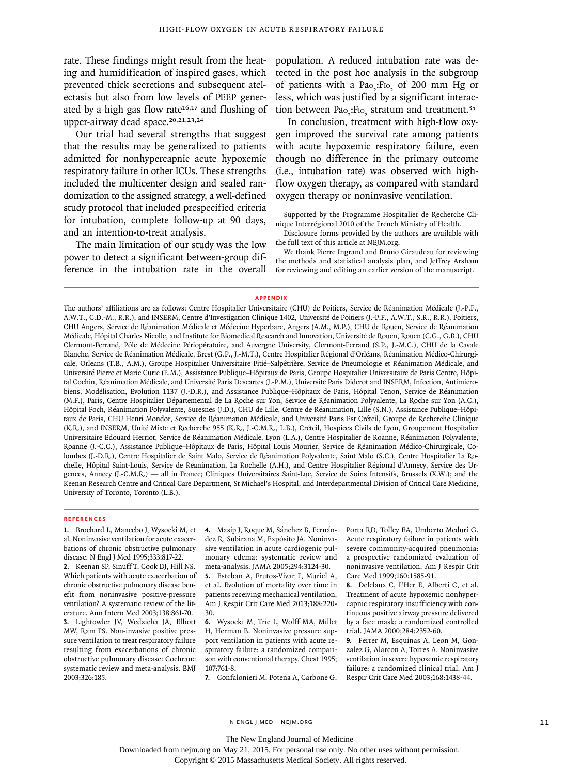rate. These findings might result from the heating and humidification of inspired gases, which prevented thick secretions and subsequent atelectasis but also from low levels of PEEP generated by a high gas flow rate $16,17$  and flushing of upper-airway dead space.<sup>20,21,23,24</sup>

Our trial had several strengths that suggest that the results may be generalized to patients admitted for nonhypercapnic acute hypoxemic respiratory failure in other ICUs. These strengths included the multicenter design and sealed randomization to the assigned strategy, a well-defined study protocol that included prespecified criteria for intubation, complete follow-up at 90 days, and an intention-to-treat analysis.

The main limitation of our study was the low power to detect a significant between-group difference in the intubation rate in the overall population. A reduced intubation rate was detected in the post hoc analysis in the subgroup of patients with a  $Pa_{2}$ :F<sub>lo<sub>2</sub></sub> of 200 mm Hg or less, which was justified by a significant interaction between Pao<sub>2</sub>:F<sub>lo<sub>2</sub></sub> stratum and treatment.<sup>35</sup>

In conclusion, treatment with high-flow oxygen improved the survival rate among patients with acute hypoxemic respiratory failure, even though no difference in the primary outcome (i.e., intubation rate) was observed with highflow oxygen therapy, as compared with standard oxygen therapy or noninvasive ventilation.

Supported by the Programme Hospitalier de Recherche Clinique Interrégional 2010 of the French Ministry of Health.

Disclosure forms provided by the authors are available with the full text of this article at NEJM.org.

We thank Pierre Ingrand and Bruno Giraudeau for reviewing the methods and statistical analysis plan, and Jeffrey Arsham for reviewing and editing an earlier version of the manuscript.

#### **APPENDIX**

The authors' affiliations are as follows: Centre Hospitalier Universitaire (CHU) de Poitiers, Service de Réanimation Médicale (J.-P.F., A.W.T., C.D.-M., R.R.), and INSERM, Centre d'Investigation Clinique 1402, Université de Poitiers (J.-P.F., A.W.T., S.R., R.R.), Poitiers, CHU Angers, Service de Réanimation Médicale et Médecine Hyperbare, Angers (A.M., M.P.), CHU de Rouen, Service de Réanimation Médicale, Hôpital Charles Nicolle, and Institute for Biomedical Research and Innovation, Université de Rouen, Rouen (C.G., G.B.), CHU Clermont-Ferrand, Pôle de Médecine Périopératoire, and Auvergne University, Clermont-Ferrand (S.P., J.-M.C.), CHU de la Cavale Blanche, Service de Réanimation Médicale, Brest (G.P., J.-M.T.), Centre Hospitalier Régional d'Orléans, Réanimation Médico-Chirurgicale, Orleans (T.B., A.M.), Groupe Hospitalier Universitaire Pitié–Salpêtrière, Service de Pneumologie et Réanimation Médicale, and Université Pierre et Marie Curie (E.M.), Assistance Publique–Hôpitaux de Paris, Groupe Hospitalier Universitaire de Paris Centre, Hôpital Cochin, Réanimation Médicale, and Université Paris Descartes (J.-P.M.), Université Paris Diderot and INSERM, Infection, Antimicrobiens, Modélisation, Evolution 1137 (J.-D.R.), and Assistance Publique–Hôpitaux de Paris, Hôpital Tenon, Service de Réanimation (M.F.), Paris, Centre Hospitalier Départemental de La Roche sur Yon, Service de Réanimation Polyvalente, La Roche sur Yon (A.C.), Hôpital Foch, Réanimation Polyvalente, Suresnes (J.D.), CHU de Lille, Centre de Réanimation, Lille (S.N.), Assistance Publique–Hôpitaux de Paris, CHU Henri Mondor, Service de Réanimation Médicale, and Université Paris Est Créteil, Groupe de Recherche Clinique (K.R.), and INSERM, Unité Mixte et Recherche 955 (K.R., J.-C.M.R., L.B.), Créteil, Hospices Civils de Lyon, Groupement Hospitalier Universitaire Edouard Herriot, Service de Réanimation Médicale, Lyon (L.A.), Centre Hospitalier de Roanne, Réanimation Polyvalente, Roanne (J.-C.C.), Assistance Publique–Hôpitaux de Paris, Hôpital Louis Mourier, Service de Réanimation Médico-Chirurgicale, Colombes (J.-D.R.), Centre Hospitalier de Saint Malo, Service de Réanimation Polyvalente, Saint Malo (S.C.), Centre Hospitalier La Rochelle, Hôpital Saint-Louis, Service de Réanimation, La Rochelle (A.H.), and Centre Hospitalier Régional d'Annecy, Service des Urgences, Annecy (J.-C.M.R.) — all in France; Cliniques Universitaires Saint-Luc, Service de Soins Intensifs, Brussels (X.W.); and the Keenan Research Centre and Critical Care Department, St Michael's Hospital, and Interdepartmental Division of Critical Care Medicine, University of Toronto, Toronto (L.B.).

#### **REFERENCES**

**1.** Brochard L, Mancebo J, Wysocki M, et al. Noninvasive ventilation for acute exacerbations of chronic obstructive pulmonary disease. N Engl J Med 1995;333:817-22.

**2.** Keenan SP, Sinuff T, Cook DJ, Hill NS. Which patients with acute exacerbation of chronic obstructive pulmonary disease benefit from noninvasive positive-pressure ventilation? A systematic review of the literature. Ann Intern Med 2003;138:861-70. **3.** Lightowler JV, Wedzicha JA, Elliott MW, Ram FS. Non-invasive positive pressure ventilation to treat respiratory failure resulting from exacerbations of chronic obstructive pulmonary disease: Cochrane systematic review and meta-analysis. BMJ 2003;326:185.

**4.** Masip J, Roque M, Sánchez B, Fernández R, Subirana M, Expósito JA. Noninvasive ventilation in acute cardiogenic pulmonary edema: systematic review and meta-analysis. JAMA 2005;294:3124-30.

**5.** Esteban A, Frutos-Vivar F, Muriel A, et al. Evolution of mortality over time in patients receiving mechanical ventilation. Am J Respir Crit Care Med 2013;188:220- 30.

**6.** Wysocki M, Tric L, Wolff MA, Millet H, Herman B. Noninvasive pressure support ventilation in patients with acute respiratory failure: a randomized comparison with conventional therapy. Chest 1995; 107:761-8.

**7.** Confalonieri M, Potena A, Carbone G,

Porta RD, Tolley EA, Umberto Meduri G. Acute respiratory failure in patients with severe community-acquired pneumonia: a prospective randomized evaluation of noninvasive ventilation. Am J Respir Crit Care Med 1999;160:1585-91.

**8.** Delclaux C, L'Her E, Alberti C, et al. Treatment of acute hypoxemic nonhypercapnic respiratory insufficiency with continuous positive airway pressure delivered by a face mask: a randomized controlled trial. JAMA 2000;284:2352-60.

**9.** Ferrer M, Esquinas A, Leon M, Gonzalez G, Alarcon A, Torres A. Noninvasive ventilation in severe hypoxemic respiratory failure: a randomized clinical trial. Am J Respir Crit Care Med 2003;168:1438-44.

The New England Journal of Medicine

Downloaded from nejm.org on May 21, 2015. For personal use only. No other uses without permission.